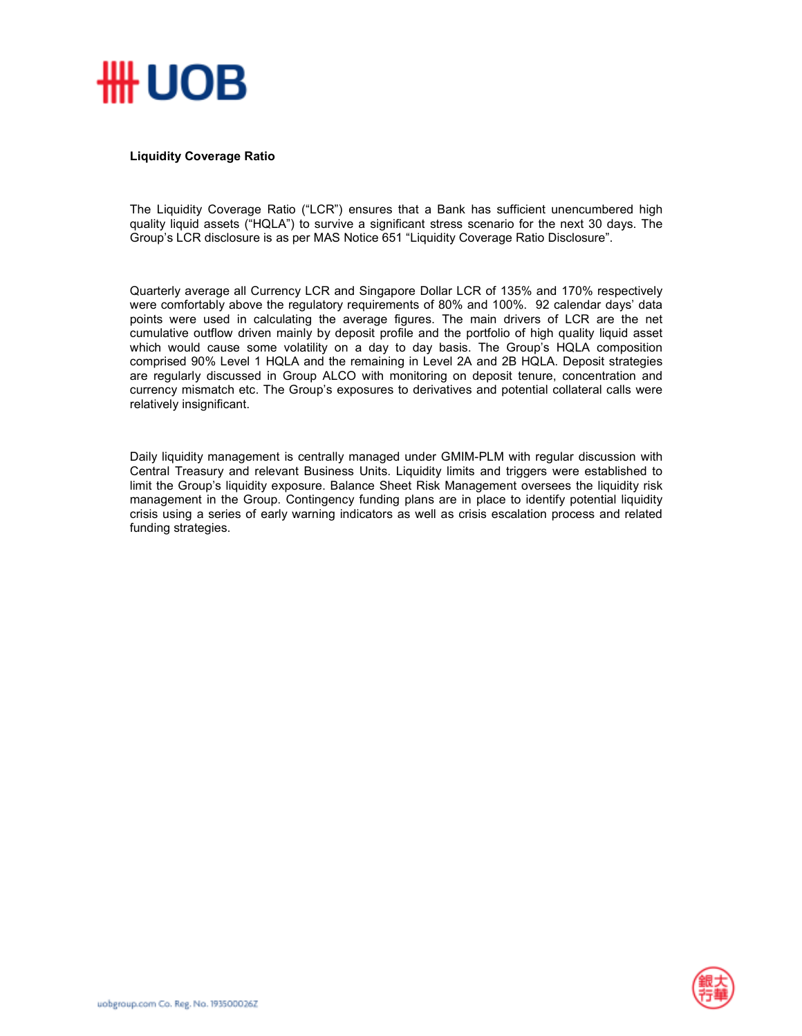

## **Liquidity Coverage Ratio**

The Liquidity Coverage Ratio ("LCR") ensures that a Bank has sufficient unencumbered high quality liquid assets ("HQLA") to survive a significant stress scenario for the next 30 days. The Group's LCR disclosure is as per MAS Notice 651 "Liquidity Coverage Ratio Disclosure".

Quarterly average all Currency LCR and Singapore Dollar LCR of 135% and 170% respectively were comfortably above the regulatory requirements of 80% and 100%. 92 calendar days' data points were used in calculating the average figures. The main drivers of LCR are the net cumulative outflow driven mainly by deposit profile and the portfolio of high quality liquid asset which would cause some volatility on a day to day basis. The Group's HQLA composition comprised 90% Level 1 HQLA and the remaining in Level 2A and 2B HQLA. Deposit strategies are regularly discussed in Group ALCO with monitoring on deposit tenure, concentration and currency mismatch etc. The Group's exposures to derivatives and potential collateral calls were relatively insignificant.

Daily liquidity management is centrally managed under GMIM-PLM with regular discussion with Central Treasury and relevant Business Units. Liquidity limits and triggers were established to limit the Group's liquidity exposure. Balance Sheet Risk Management oversees the liquidity risk management in the Group. Contingency funding plans are in place to identify potential liquidity crisis using a series of early warning indicators as well as crisis escalation process and related funding strategies.

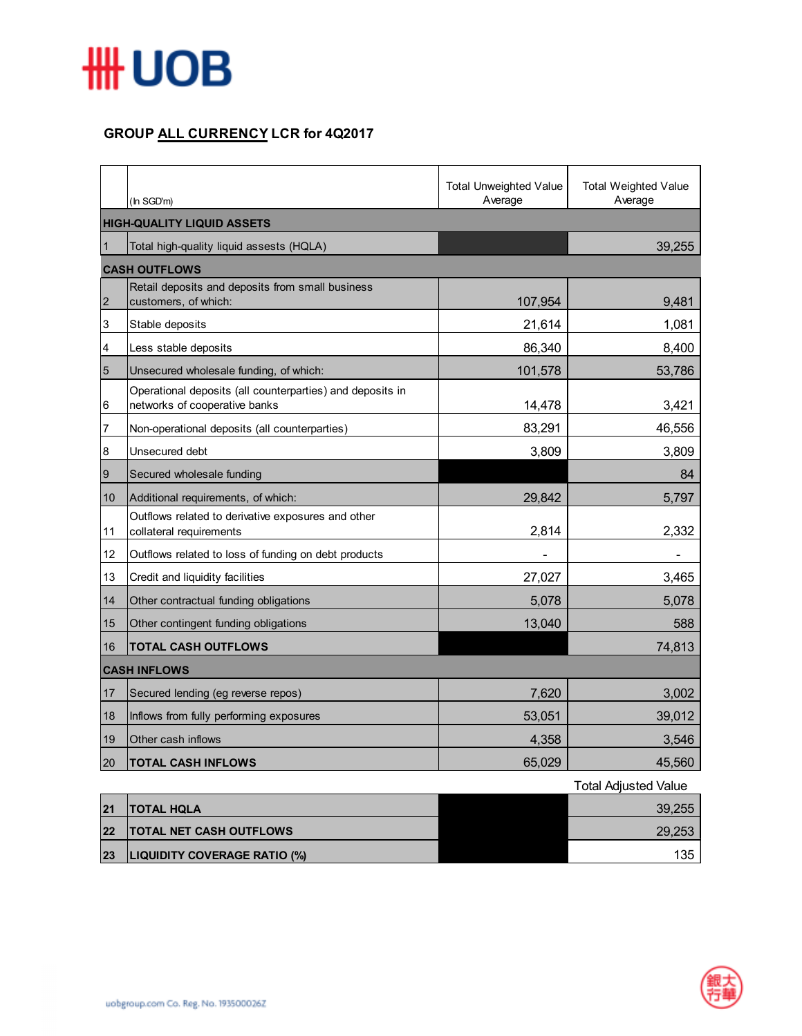

## **GROUP ALL CURRENCY LCR for 4Q2017**

|                   | (In SGD'm)                                                                                 | <b>Total Unweighted Value</b><br>Average | <b>Total Weighted Value</b><br>Average |  |  |
|-------------------|--------------------------------------------------------------------------------------------|------------------------------------------|----------------------------------------|--|--|
|                   | <b>HIGH-QUALITY LIQUID ASSETS</b>                                                          |                                          |                                        |  |  |
| $\vert$ 1         | Total high-quality liquid assests (HQLA)                                                   |                                          | 39,255                                 |  |  |
|                   | <b>CASH OUTFLOWS</b>                                                                       |                                          |                                        |  |  |
| $\overline{2}$    | Retail deposits and deposits from small business<br>customers, of which:                   | 107,954                                  | 9,481                                  |  |  |
| 3                 | Stable deposits                                                                            | 21,614                                   | 1,081                                  |  |  |
| 4                 | Less stable deposits                                                                       | 86,340                                   | 8,400                                  |  |  |
| $5\overline{5}$   | Unsecured wholesale funding, of which:                                                     | 101,578                                  | 53,786                                 |  |  |
| $6\phantom{.}6$   | Operational deposits (all counterparties) and deposits in<br>networks of cooperative banks | 14,478                                   | 3,421                                  |  |  |
| 7                 | Non-operational deposits (all counterparties)                                              | 83,291                                   | 46,556                                 |  |  |
| $\bf 8$           | Unsecured debt                                                                             | 3,809                                    | 3,809                                  |  |  |
| 9                 | Secured wholesale funding                                                                  |                                          | 84                                     |  |  |
| 10                | Additional requirements, of which:                                                         | 29,842                                   | 5,797                                  |  |  |
| 11                | Outflows related to derivative exposures and other<br>collateral requirements              | 2,814                                    | 2,332                                  |  |  |
| $12 \overline{ }$ | Outflows related to loss of funding on debt products                                       |                                          |                                        |  |  |
| 13                | Credit and liquidity facilities                                                            | 27,027                                   | 3,465                                  |  |  |
| 14                | Other contractual funding obligations                                                      | 5,078                                    | 5,078                                  |  |  |
| 15                | Other contingent funding obligations                                                       | 13,040                                   | 588                                    |  |  |
| 16                | <b>TOTAL CASH OUTFLOWS</b>                                                                 |                                          | 74,813                                 |  |  |
|                   | <b>CASH INFLOWS</b>                                                                        |                                          |                                        |  |  |
| 17                | Secured lending (eg reverse repos)                                                         | 7,620                                    | 3,002                                  |  |  |
| 18                | Inflows from fully performing exposures                                                    | 53,051                                   | 39,012                                 |  |  |
| 19                | Other cash inflows                                                                         | 4,358                                    | 3,546                                  |  |  |
| 20                | <b>TOTAL CASH INFLOWS</b>                                                                  | 65,029                                   | 45,560                                 |  |  |
|                   |                                                                                            |                                          | Total Adjusted Value                   |  |  |

|    |                                     | i otal Adjusted Value |
|----|-------------------------------------|-----------------------|
| 21 | <b>ITOTAL HOLA</b>                  | 39.255                |
| 22 | <b>TOTAL NET CASH OUTFLOWS</b>      | 29,253                |
| 23 | <b>LIQUIDITY COVERAGE RATIO (%)</b> | 135                   |